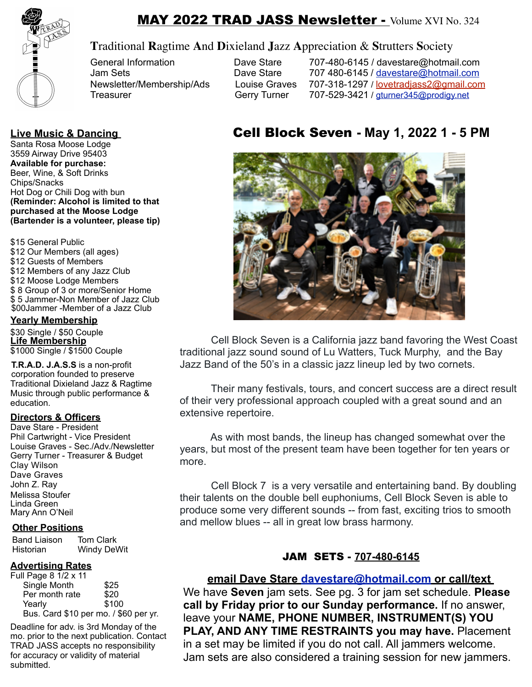

# MAY 2022 TRAD JASS Newsletter - Volume XVI No. 324

## **T**raditional **R**agtime **A**nd **D**ixieland **J**azz **A**ppreciation & **S**trutters **S**ociety

General Information **Dave Stare** 707-480-6145 / davestare@hotmail.com<br>Jam Sets **Dave Stare** 707 480-6145 / davestare@hotmail.com 707 480-6145 / [davestare@hotmail.com](mailto:dstare@hotmail.com) Newsletter/Membership/Ads Louise Graves 707-318-1297 / lovetradiass2@gmail.com Treasurer **Gerry Turner** 707-529-3421 / gturner345@prodigy.net

Santa Rosa Moose Lodge 3559 Airway Drive 95403 **Available for purchase:**  Beer, Wine, & Soft Drinks Chips/Snacks Hot Dog or Chili Dog with bun **(Reminder: Alcohol is limited to that purchased at the Moose Lodge (Bartender is a volunteer, please tip)**

\$15 General Public \$12 Our Members (all ages) \$12 Guests of Members \$12 Members of any Jazz Club \$12 Moose Lodge Members \$ 8 Group of 3 or more/Senior Home \$ 5 Jammer-Non Member of Jazz Club \$00Jammer -Member of a Jazz Club

#### **Yearly Membership**

\$30 Single / \$50 Couple **Life Membership** \$1000 Single / \$1500 Couple

**T.R.A.D. J.A.S.S** is a non-profit corporation founded to preserve Traditional Dixieland Jazz & Ragtime Music through public performance & education.

#### **Directors & Officers**

Dave Stare - President Phil Cartwright - Vice President Louise Graves - Sec./Adv./Newsletter Gerry Turner - Treasurer & Budget Clay Wilson Dave Graves John Z. Ray Melissa Stoufer Linda Green Mary Ann O'Neil

#### **Other Positions**

Band Liaison Tom Clark Historian Windy DeWit

#### **Advertising Rates**

| Full Page 8 1/2 x 11                  |       |
|---------------------------------------|-------|
| Single Month                          | \$25  |
| Per month rate                        | \$20  |
| Yearly                                | \$100 |
| Bus. Card \$10 per mo. / \$60 per yr. |       |

Deadline for adv. is 3rd Monday of the mo. prior to the next publication. Contact TRAD JASS accepts no responsibility for accuracy or validity of material submitted.

# **Live Music & Dancing** Cell Block Seven **- May 1, 2022 1 - 5 PM**



 Cell Block Seven is a California jazz band favoring the West Coast traditional jazz sound sound of Lu Watters, Tuck Murphy, and the Bay Jazz Band of the 50's in a classic jazz lineup led by two cornets.

 Their many festivals, tours, and concert success are a direct result of their very professional approach coupled with a great sound and an extensive repertoire.

 As with most bands, the lineup has changed somewhat over the years, but most of the present team have been together for ten years or more.

 Cell Block 7 is a very versatile and entertaining band. By doubling their talents on the double bell euphoniums, Cell Block Seven is able to produce some very different sounds -- from fast, exciting trios to smooth and mellow blues -- all in great low brass harmony.

## JAM SETS - **707-480-6145**

#### **email Dave Stare [davestare@hotmail.com](mailto:davestare@hotmail.com) or call/text**

We have **Seven** jam sets. See pg. 3 for jam set schedule. **Please call by Friday prior to our Sunday performance.** If no answer, leave your **NAME, PHONE NUMBER, INSTRUMENT(S) YOU PLAY, AND ANY TIME RESTRAINTS you may have.** Placement in a set may be limited if you do not call. All jammers welcome. Jam sets are also considered a training session for new jammers.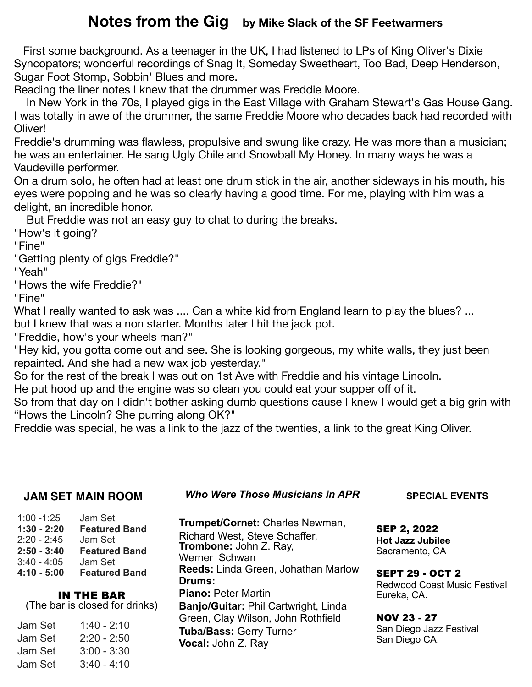# **Notes from the Gig by Mike Slack of the SF Feetwarmers**

 First some background. As a teenager in the UK, I had listened to LPs of King Oliver's Dixie Syncopators; wonderful recordings of Snag It, Someday Sweetheart, Too Bad, Deep Henderson, Sugar Foot Stomp, Sobbin' Blues and more.

Reading the liner notes I knew that the drummer was Freddie Moore.

 In New York in the 70s, I played gigs in the East Village with Graham Stewart's Gas House Gang. I was totally in awe of the drummer, the same Freddie Moore who decades back had recorded with Oliver!

Freddie's drumming was flawless, propulsive and swung like crazy. He was more than a musician; he was an entertainer. He sang Ugly Chile and Snowball My Honey. In many ways he was a Vaudeville performer.

On a drum solo, he often had at least one drum stick in the air, another sideways in his mouth, his eyes were popping and he was so clearly having a good time. For me, playing with him was a delight, an incredible honor.

But Freddie was not an easy guy to chat to during the breaks.

"How's it going?

"Fine"

"Getting plenty of gigs Freddie?"

"Yeah"

"Hows the wife Freddie?"

"Fine"

What I really wanted to ask was .... Can a white kid from England learn to play the blues? ... but I knew that was a non starter. Months later I hit the jack pot.

"Freddie, how's your wheels man?"

"Hey kid, you gotta come out and see. She is looking gorgeous, my white walls, they just been repainted. And she had a new wax job yesterday."

So for the rest of the break I was out on 1st Ave with Freddie and his vintage Lincoln.

He put hood up and the engine was so clean you could eat your supper off of it.

So from that day on I didn't bother asking dumb questions cause I knew I would get a big grin with "Hows the Lincoln? She purring along OK?"

Freddie was special, he was a link to the jazz of the twenties, a link to the great King Oliver.

## **JAM SET MAIN ROOM**

*Who Were Those Musicians in APR*

| $1:00 - 1:25$ | Jam Set              |
|---------------|----------------------|
| 1:30 - 2:20   | <b>Featured Band</b> |
| 2:20 - 2:45   | Jam Set              |
| 2:50 - 3:40   | <b>Featured Band</b> |
|               |                      |
| 3:40 - 4:05   | Jam Set              |
| 4:10 - 5:00   | <b>Featured Band</b> |

# IN THE BAR

(The bar is closed for drinks)

| Jam Set | 1:40 - 2:10   |
|---------|---------------|
| Jam Set | $2:20 - 2:50$ |
| Jam Set | $3:00 - 3:30$ |
| Jam Set | $3:40 - 4:10$ |

**Trumpet/Cornet:** Charles Newman, Richard West, Steve Schaffer, **Trombone:** John Z. Ray, Werner Schwan **Reeds:** Linda Green, Johathan Marlow **Drums: Piano:** Peter Martin **Banjo/Guitar:** Phil Cartwright, Linda Green, Clay Wilson, John Rothfield **Tuba/Bass:** Gerry Turner **Vocal:** John Z. Ray

**SPECIAL EVENTS**

SEP 2, 2022 **Hot Jazz Jubilee** Sacramento, CA

SEPT 29 - OCT 2 Redwood Coast Music Festival Eureka, CA.

NOV 23 - 27 San Diego Jazz Festival San Diego CA.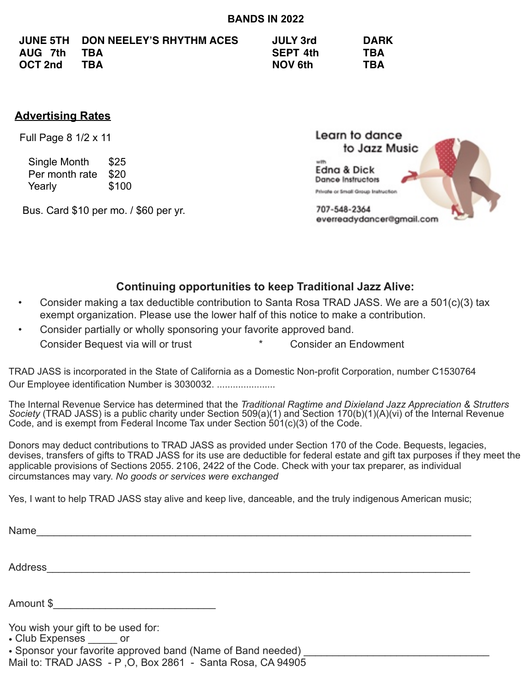|         | JUNE 5TH DON NEELEY'S RHYTHM ACES | <b>JULY 3rd</b> | <b>DARK</b> |
|---------|-----------------------------------|-----------------|-------------|
| AUG 7th | TBA                               | <b>SEPT 4th</b> | <b>TBA</b>  |
| OCT 2nd | TBA                               | <b>NOV 6th</b>  | <b>TBA</b>  |

### **Advertising Rates**

Full Page 8 1/2 x 11

 Single Month \$25 Per month rate \$20 Yearly \$100

Bus. Card \$10 per mo. / \$60 per yr.



## **Continuing opportunities to keep Traditional Jazz Alive:**

- Consider making a tax deductible contribution to Santa Rosa TRAD JASS. We are a 501(c)(3) tax exempt organization. Please use the lower half of this notice to make a contribution.
- Consider partially or wholly sponsoring your favorite approved band. Consider Bequest via will or trust **\*** The Consider an Endowment

TRAD JASS is incorporated in the State of California as a Domestic Non-profit Corporation, number C1530764 Our Employee identification Number is 3030032. ......................

The Internal Revenue Service has determined that the *Traditional Ragtime and Dixieland Jazz Appreciation & Strutters Society* (TRAD JASS) is a public charity under Section 509(a)(1) and Section 170(b)(1)(A)(vi) of the Internal Revenue Code, and is exempt from Federal Income Tax under Section  $\frac{1}{5}01(c)(3)$  of the Code.

Donors may deduct contributions to TRAD JASS as provided under Section 170 of the Code. Bequests, legacies, devises, transfers of gifts to TRAD JASS for its use are deductible for federal estate and gift tax purposes if they meet the applicable provisions of Sections 2055. 2106, 2422 of the Code. Check with your tax preparer, as individual circumstances may vary. *No goods or services were exchanged* 

Yes, I want to help TRAD JASS stay alive and keep live, danceable, and the truly indigenous American music;

Name

Address\_\_\_\_\_\_\_\_\_\_\_\_\_\_\_\_\_\_\_\_\_\_\_\_\_\_\_\_\_\_\_\_\_\_\_\_\_\_\_\_\_\_\_\_\_\_\_\_\_\_\_\_\_\_\_\_\_\_\_\_\_\_\_\_\_\_\_\_\_\_\_\_\_

Amount \$\_\_\_\_\_\_\_\_\_\_\_\_\_\_\_\_\_\_\_\_\_\_\_\_\_\_\_\_

You wish your gift to be used for:

• Club Expenses \_\_\_\_\_\_ or

• Sponsor your favorite approved band (Name of Band needed)

Mail to: TRAD JASS - P ,O, Box 2861 - Santa Rosa, CA 94905